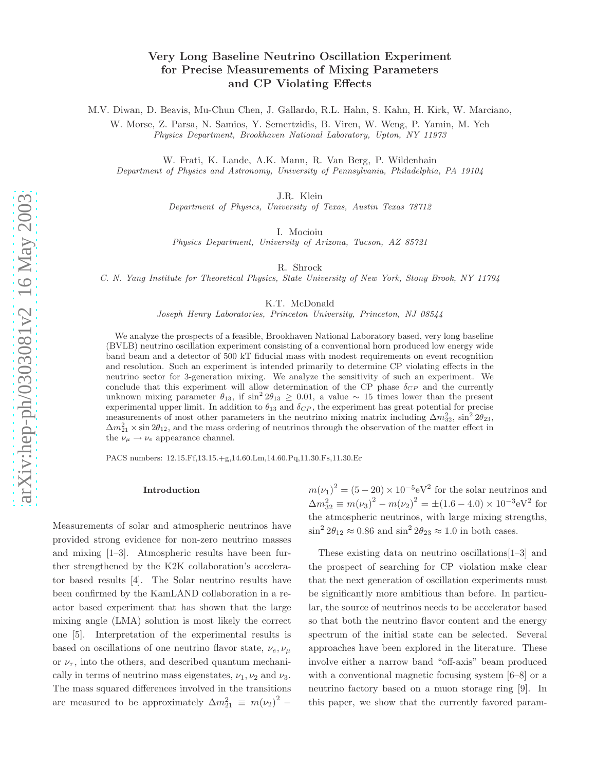# Very Long Baseline Neutrino Oscillation Experiment for Precise Measurements of Mixing Parameters and CP Violating Effects

M.V. Diwan, D. Beavis, Mu-Chun Chen, J. Gallardo, R.L. Hahn, S. Kahn, H. Kirk, W. Marciano,

W. Morse, Z. Parsa, N. Samios, Y. Semertzidis, B. Viren, W. Weng, P. Yamin, M. Yeh Physics Department, Brookhaven National Laboratory, Upton, NY 11973

W. Frati, K. Lande, A.K. Mann, R. Van Berg, P. Wildenhain Department of Physics and Astronomy, University of Pennsylvania, Philadelphia, PA 19104

J.R. Klein

Department of Physics, University of Texas, Austin Texas 78712

I. Mocioiu

Physics Department, University of Arizona, Tucson, AZ 8572 1

R. Shrock

C. N. Yang Institute for Theoretical Physics, State University of New York, Stony Brook, NY 11794

K.T. McDonald

Joseph Henry Laboratories, Princeton University, Princeton, NJ 08544

We analyze the prospects of a feasible, Brookhaven National Laboratory based, very long baseline (BVLB) neutrino oscillation experiment consisting of a conventional horn produced low energy wide band beam and a detector of 500 kT fiducial mass with modest requirements on event recognition and resolution. Such an experiment is intended primarily to determine CP violating effects in the neutrino sector for 3-generation mixing. We analyze the sensitivity of such an experiment. We conclude that this experiment will allow determination of the CP phase  $\delta_{CP}$  and the currently unknown mixing parameter  $\theta_{13}$ , if  $\sin^2 2\theta_{13} \geq 0.01$ , a value ~ 15 times lower than the present experimental upper limit. In addition to  $\theta_{13}$  and  $\delta_{CP}$ , the experiment has great potential for precise measurements of most other parameters in the neutrino mixing matrix including  $\Delta m_{32}^2$ ,  $\sin^2 2\theta_{23}$ ,  $\Delta m_{21}^2 \times \sin 2\theta_{12}$ , and the mass ordering of neutrinos through the observation of the matter effect in the  $\nu_{\mu} \rightarrow \nu_{e}$  appearance channel.

PACS numbers: 12.15.Ff,13.15.+g,14.60.Lm,14.60.Pq,11.30.Fs,11.30.Er

#### Introduction

Measurements of solar and atmospheric neutrinos have provided strong evidence for non-zero neutrino masses and mixing [1–3]. Atmospheric results have been further strengthened by the K2K collaboration's accelerator based results [4]. The Solar neutrino results have been confirmed by the KamLAND collaboration in a reactor based experiment that has shown that the large mixing angle (LMA) solution is most likely the correct one [5]. Interpretation of the experimental results is based on oscillations of one neutrino flavor state,  $\nu_e, \nu_\mu$ or  $\nu_{\tau}$ , into the others, and described quantum mechanically in terms of neutrino mass eigenstates,  $\nu_1, \nu_2$  and  $\nu_3$ . The mass squared differences involved in the transitions are measured to be approximately  $\Delta m_{21}^2 \equiv m(\nu_2)^2$  –

 $m(\nu_1)^2 = (5-20) \times 10^{-5} \text{eV}^2$  for the solar neutrinos and  $\Delta m_{32}^2 \equiv m(\nu_3)^2 - m(\nu_2)^2 = \pm (1.6 - 4.0) \times 10^{-3} \text{eV}^2$  for the atmospheric neutrinos, with large mixing strengths,  $\sin^2 2\theta_{12} \approx 0.86$  and  $\sin^2 2\theta_{23} \approx 1.0$  in both cases.

These existing data on neutrino oscillations[1–3] and the prospect of searching for CP violation make clear that the next generation of oscillation experiments must be significantly more ambitious than before. In particular, the source of neutrinos needs to be accelerator based so that both the neutrino flavor content and the energy spectrum of the initial state can be selected. Several approaches have been explored in the literature. These involve either a narrow band "off-axis" beam produced with a conventional magnetic focusing system [6–8] or a neutrino factory based on a muon storage ring [9]. In this paper, we show that the currently favored param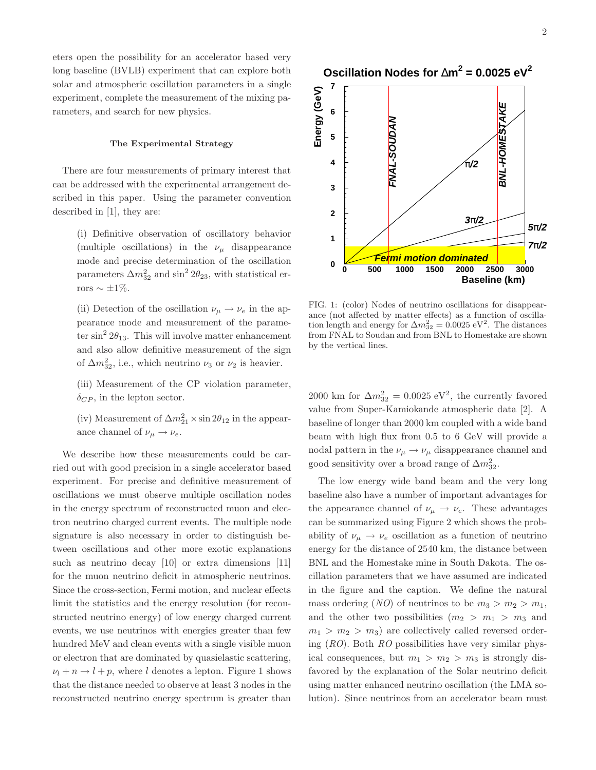eters open the possibility for an accelerator based very long baseline (BVLB) experiment that can explore both solar and atmospheric oscillation parameters in a single experiment, complete the measurement of the mixing parameters, and search for new physics.

# The Experimental Strategy

There are four measurements of primary interest that can be addressed with the experimental arrangement described in this paper. Using the parameter convention described in [1], they are:

(i) Definitive observation of oscillatory behavior (multiple oscillations) in the  $\nu_{\mu}$  disappearance mode and precise determination of the oscillation parameters  $\Delta m_{32}^2$  and  $\sin^2 2\theta_{23}$ , with statistical errors  $\sim \pm 1\%$ .

(ii) Detection of the oscillation  $\nu_\mu \rightarrow \nu_e$  in the appearance mode and measurement of the parameter  $\sin^2 2\theta_{13}$ . This will involve matter enhancement and also allow definitive measurement of the sign of  $\Delta m_{32}^2$ , i.e., which neutrino  $\nu_3$  or  $\nu_2$  is heavier.

- (iii) Measurement of the CP violation parameter,  $\delta_{CP}$ , in the lepton sector.
- (iv) Measurement of  $\Delta m_{21}^2 \times \sin 2\theta_{12}$  in the appearance channel of  $\nu_\mu \rightarrow \nu_e$ .

We describe how these measurements could be carried out with good precision in a single accelerator based experiment. For precise and definitive measurement of oscillations we must observe multiple oscillation nodes in the energy spectrum of reconstructed muon and electron neutrino charged current events. The multiple node signature is also necessary in order to distinguish between oscillations and other more exotic explanations such as neutrino decay [10] or extra dimensions [11] for the muon neutrino deficit in atmospheric neutrinos. Since the cross-section, Fermi motion, and nuclear effects limit the statistics and the energy resolution (for reconstructed neutrino energy) of low energy charged current events, we use neutrinos with energies greater than few hundred MeV and clean events with a single visible muon or electron that are dominated by quasielastic scattering,  $\nu_l + n \rightarrow l + p$ , where l denotes a lepton. Figure 1 shows that the distance needed to observe at least 3 nodes in the reconstructed neutrino energy spectrum is greater than



FIG. 1: (color) Nodes of neutrino oscillations for disappearance (not affected by matter effects) as a function of oscillation length and energy for  $\Delta m_{32}^2 = 0.0025 \text{ eV}^2$ . The distances from FNAL to Soudan and from BNL to Homestake are shown by the vertical lines.

2000 km for  $\Delta m_{32}^2 = 0.0025 \text{ eV}^2$ , the currently favored value from Super-Kamiokande atmospheric data [2]. A baseline of longer than 2000 km coupled with a wide band beam with high flux from 0.5 to 6 GeV will provide a nodal pattern in the  $\nu_\mu \rightarrow \nu_\mu$  disappearance channel and good sensitivity over a broad range of  $\Delta m^2_{32}$ .

The low energy wide band beam and the very long baseline also have a number of important advantages for the appearance channel of  $\nu_\mu \rightarrow \nu_e$ . These advantages can be summarized using Figure 2 which shows the probability of  $\nu_{\mu} \rightarrow \nu_{e}$  oscillation as a function of neutrino energy for the distance of 2540 km, the distance between BNL and the Homestake mine in South Dakota. The oscillation parameters that we have assumed are indicated in the figure and the caption. We define the natural mass ordering  $(NO)$  of neutrinos to be  $m_3 > m_2 > m_1$ , and the other two possibilities  $(m_2 > m_1 > m_3$  and  $m_1 > m_2 > m_3$ ) are collectively called reversed ordering  $(RO)$ . Both RO possibilities have very similar physical consequences, but  $m_1 > m_2 > m_3$  is strongly disfavored by the explanation of the Solar neutrino deficit using matter enhanced neutrino oscillation (the LMA solution). Since neutrinos from an accelerator beam must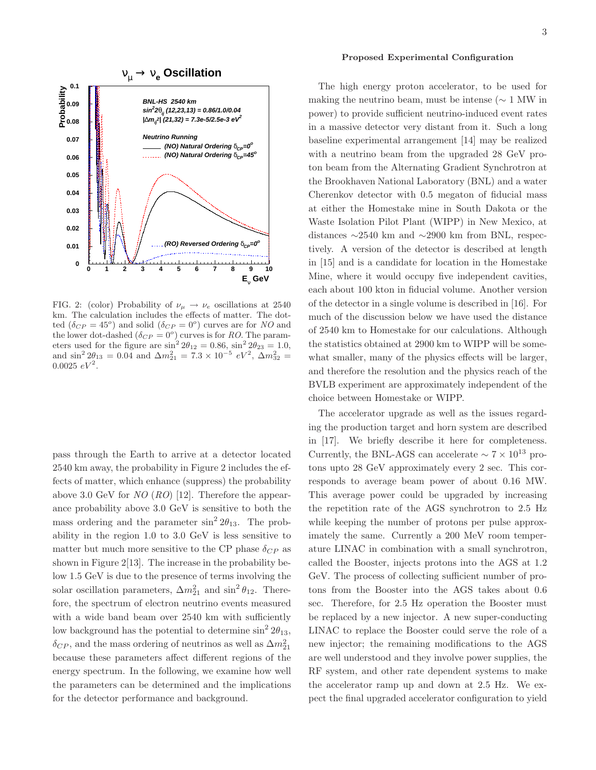

FIG. 2: (color) Probability of  $\nu_{\mu} \rightarrow \nu_{e}$  oscillations at 2540 km. The calculation includes the effects of matter. The dotted  $(\delta_{CP} = 45^{\circ})$  and solid  $(\delta_{CP} = 0^{\circ})$  curves are for NO and the lower dot-dashed  $(\delta_{CP} = 0^{\degree})$  curves is for RO. The parameters used for the figure are  $\sin^2 2\theta_{12} = 0.86$ ,  $\sin^2 2\theta_{23} = 1.0$ , and  $\sin^2 2\theta_{13} = 0.04$  and  $\Delta m_{21}^2 = 7.3 \times 10^{-5}$   $eV^2$ ,  $\Delta m_{32}^2 =$  $0.0025 \, \, eV^2$ .

pass through the Earth to arrive at a detector located 2540 km away, the probability in Figure 2 includes the effects of matter, which enhance (suppress) the probability above 3.0 GeV for  $NO (RO)$  [12]. Therefore the appearance probability above 3.0 GeV is sensitive to both the mass ordering and the parameter  $\sin^2 2\theta_{13}$ . The probability in the region 1.0 to 3.0 GeV is less sensitive to matter but much more sensitive to the CP phase  $\delta_{CP}$  as shown in Figure 2[13]. The increase in the probability below 1.5 GeV is due to the presence of terms involving the solar oscillation parameters,  $\Delta m_{21}^2$  and  $\sin^2 \theta_{12}$ . Therefore, the spectrum of electron neutrino events measured with a wide band beam over 2540 km with sufficiently low background has the potential to determine  $\sin^2 2\theta_{13}$ ,  $\delta_{CP}$ , and the mass ordering of neutrinos as well as  $\Delta m^2_{21}$ because these parameters affect different regions of the energy spectrum. In the following, we examine how well the parameters can be determined and the implications for the detector performance and background.

# Proposed Experimental Configuration

The high energy proton accelerator, to be used for making the neutrino beam, must be intense ( $\sim 1$  MW in power) to provide sufficient neutrino-induced event rates in a massive detector very distant from it. Such a long baseline experimental arrangement [14] may be realized with a neutrino beam from the upgraded 28 GeV proton beam from the Alternating Gradient Synchrotron at the Brookhaven National Laboratory (BNL) and a water Cherenkov detector with 0.5 megaton of fiducial mass at either the Homestake mine in South Dakota or the Waste Isolation Pilot Plant (WIPP) in New Mexico, at distances ∼2540 km and ∼2900 km from BNL, respectively. A version of the detector is described at length in [15] and is a candidate for location in the Homestake Mine, where it would occupy five independent cavities, each about 100 kton in fiducial volume. Another version of the detector in a single volume is described in [16]. For much of the discussion below we have used the distance of 2540 km to Homestake for our calculations. Although the statistics obtained at 2900 km to WIPP will be somewhat smaller, many of the physics effects will be larger, and therefore the resolution and the physics reach of the BVLB experiment are approximately independent of the choice between Homestake or WIPP.

The accelerator upgrade as well as the issues regarding the production target and horn system are described in [17]. We briefly describe it here for completeness. Currently, the BNL-AGS can accelerate  $\sim 7 \times 10^{13}$  protons upto 28 GeV approximately every 2 sec. This corresponds to average beam power of about 0.16 MW. This average power could be upgraded by increasing the repetition rate of the AGS synchrotron to 2.5 Hz while keeping the number of protons per pulse approximately the same. Currently a 200 MeV room temperature LINAC in combination with a small synchrotron, called the Booster, injects protons into the AGS at 1.2 GeV. The process of collecting sufficient number of protons from the Booster into the AGS takes about 0.6 sec. Therefore, for 2.5 Hz operation the Booster must be replaced by a new injector. A new super-conducting LINAC to replace the Booster could serve the role of a new injector; the remaining modifications to the AGS are well understood and they involve power supplies, the RF system, and other rate dependent systems to make the accelerator ramp up and down at 2.5 Hz. We expect the final upgraded accelerator configuration to yield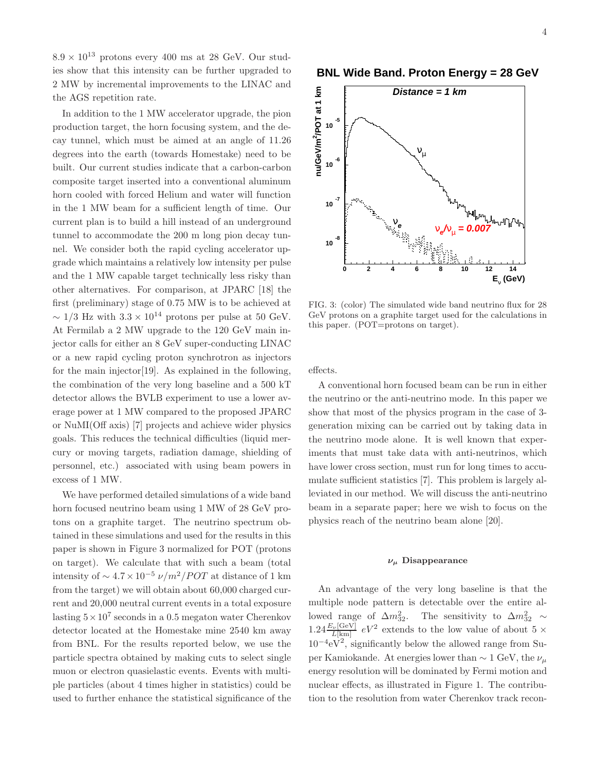$8.9 \times 10^{13}$  protons every 400 ms at 28 GeV. Our studies show that this intensity can be further upgraded to 2 MW by incremental improvements to the LINAC and the AGS repetition rate.

In addition to the 1 MW accelerator upgrade, the pion production target, the horn focusing system, and the decay tunnel, which must be aimed at an angle of 11.26 degrees into the earth (towards Homestake) need to be built. Our current studies indicate that a carbon-carbon composite target inserted into a conventional aluminum horn cooled with forced Helium and water will function in the 1 MW beam for a sufficient length of time. Our current plan is to build a hill instead of an underground tunnel to accommodate the 200 m long pion decay tunnel. We consider both the rapid cycling accelerator upgrade which maintains a relatively low intensity per pulse and the 1 MW capable target technically less risky than other alternatives. For comparison, at JPARC [18] the first (preliminary) stage of 0.75 MW is to be achieved at  $\sim 1/3$  Hz with  $3.3 \times 10^{14}$  protons per pulse at 50 GeV. At Fermilab a 2 MW upgrade to the 120 GeV main injector calls for either an 8 GeV super-conducting LINAC or a new rapid cycling proton synchrotron as injectors for the main injector[19]. As explained in the following, the combination of the very long baseline and a 500 kT detector allows the BVLB experiment to use a lower average power at 1 MW compared to the proposed JPARC or NuMI(Off axis) [7] projects and achieve wider physics goals. This reduces the technical difficulties (liquid mercury or moving targets, radiation damage, shielding of personnel, etc.) associated with using beam powers in excess of 1 MW.

We have performed detailed simulations of a wide band horn focused neutrino beam using 1 MW of 28 GeV protons on a graphite target. The neutrino spectrum obtained in these simulations and used for the results in this paper is shown in Figure 3 normalized for POT (protons on target). We calculate that with such a beam (total intensity of  $\sim 4.7 \times 10^{-5} \nu/m^2/POT$  at distance of 1 km from the target) we will obtain about 60,000 charged current and 20,000 neutral current events in a total exposure lasting  $5 \times 10^7$  seconds in a 0.5 megaton water Cherenkov detector located at the Homestake mine 2540 km away from BNL. For the results reported below, we use the particle spectra obtained by making cuts to select single muon or electron quasielastic events. Events with multiple particles (about 4 times higher in statistics) could be used to further enhance the statistical significance of the **BNL Wide Band. Proton Energy = 28 GeV**



FIG. 3: (color) The simulated wide band neutrino flux for 28 GeV protons on a graphite target used for the calculations in this paper. (POT=protons on target).

effects.

A conventional horn focused beam can be run in either the neutrino or the anti-neutrino mode. In this paper we show that most of the physics program in the case of 3 generation mixing can be carried out by taking data in the neutrino mode alone. It is well known that experiments that must take data with anti-neutrinos, which have lower cross section, must run for long times to accumulate sufficient statistics [7]. This problem is largely alleviated in our method. We will discuss the anti-neutrino beam in a separate paper; here we wish to focus on the physics reach of the neutrino beam alone [20].

# $\nu_{\mu}$  Disappearance

An advantage of the very long baseline is that the multiple node pattern is detectable over the entire allowed range of  $\Delta m_{32}^2$ . The sensitivity to  $\Delta m_{32}^2 \sim$  $1.24 \frac{E_{\nu}[\text{GeV}]}{L[\text{km}]}$  eV<sup>2</sup> extends to the low value of about 5  $\times$  $10^{-4}$ e $\dot{V}^2$ , significantly below the allowed range from Super Kamiokande. At energies lower than  $\sim 1$  GeV, the  $\nu_\mu$ energy resolution will be dominated by Fermi motion and nuclear effects, as illustrated in Figure 1. The contribution to the resolution from water Cherenkov track recon-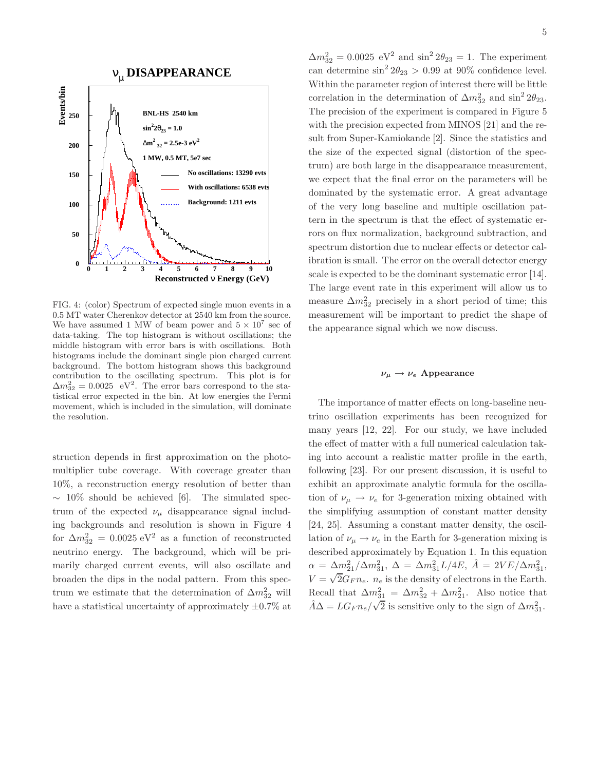

FIG. 4: (color) Spectrum of expected single muon events in a 0.5 MT water Cherenkov detector at 2540 km from the source. We have assumed 1 MW of beam power and  $5 \times 10^7$  sec of data-taking. The top histogram is without oscillations; the middle histogram with error bars is with oscillations. Both histograms include the dominant single pion charged current background. The bottom histogram shows this background contribution to the oscillating spectrum. This plot is for  $\Delta m_{32}^2 = 0.0025$  eV<sup>2</sup>. The error bars correspond to the statistical error expected in the bin. At low energies the Fermi movement, which is included in the simulation, will dominate the resolution.

struction depends in first approximation on the photomultiplier tube coverage. With coverage greater than 10%, a reconstruction energy resolution of better than  $\sim$  10% should be achieved [6]. The simulated spectrum of the expected  $\nu_{\mu}$  disappearance signal including backgrounds and resolution is shown in Figure 4 for  $\Delta m_{32}^2 = 0.0025 \text{ eV}^2$  as a function of reconstructed neutrino energy. The background, which will be primarily charged current events, will also oscillate and broaden the dips in the nodal pattern. From this spectrum we estimate that the determination of  $\Delta m_{32}^2$  will have a statistical uncertainty of approximately  $\pm 0.7\%$  at

 $\Delta m_{32}^2 = 0.0025 \text{ eV}^2$  and  $\sin^2 2\theta_{23} = 1$ . The experiment can determine  $\sin^2 2\theta_{23} > 0.99$  at 90% confidence level. Within the parameter region of interest there will be little correlation in the determination of  $\Delta m_{32}^2$  and  $\sin^2 2\theta_{23}$ . The precision of the experiment is compared in Figure 5 with the precision expected from MINOS [21] and the result from Super-Kamiokande [2]. Since the statistics and the size of the expected signal (distortion of the spectrum) are both large in the disappearance measurement, we expect that the final error on the parameters will be dominated by the systematic error. A great advantage of the very long baseline and multiple oscillation pattern in the spectrum is that the effect of systematic errors on flux normalization, background subtraction, and spectrum distortion due to nuclear effects or detector calibration is small. The error on the overall detector energy scale is expected to be the dominant systematic error [14]. The large event rate in this experiment will allow us to measure  $\Delta m_{32}^2$  precisely in a short period of time; this measurement will be important to predict the shape of the appearance signal which we now discuss.

#### $\nu_{\mu} \rightarrow \nu_{e}$  Appearance

The importance of matter effects on long-baseline neutrino oscillation experiments has been recognized for many years [12, 22]. For our study, we have included the effect of matter with a full numerical calculation taking into account a realistic matter profile in the earth, following [23]. For our present discussion, it is useful to exhibit an approximate analytic formula for the oscillation of  $\nu_{\mu} \rightarrow \nu_{e}$  for 3-generation mixing obtained with the simplifying assumption of constant matter density [24, 25]. Assuming a constant matter density, the oscillation of  $\nu_{\mu} \rightarrow \nu_{e}$  in the Earth for 3-generation mixing is described approximately by Equation 1. In this equation  $\alpha = \Delta m_{21}^2 / \Delta m_{31}^2$ ,  $\Delta = \Delta m_{31}^2 L / 4E$ ,  $\hat{A} = 2VE / \Delta m_{31}^2$ ,  $V = \sqrt{2} G_F n_e$ .  $n_e$  is the density of electrons in the Earth. Recall that  $\Delta m_{31}^2 = \Delta m_{32}^2 + \Delta m_{21}^2$ . Also notice that  $\hat{A}\Delta = LG_F n_e / \sqrt{2}$  is sensitive only to the sign of  $\Delta m_{31}^2$ .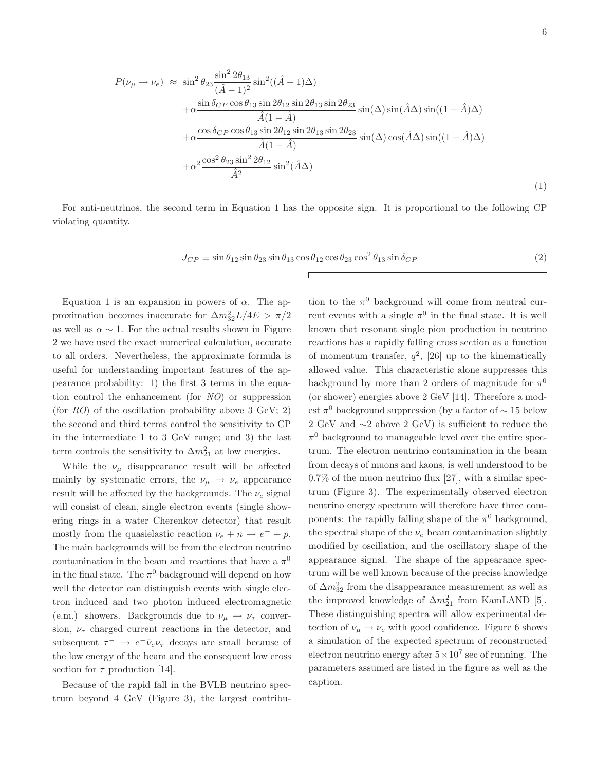$$
P(\nu_{\mu} \to \nu_{e}) \approx \sin^{2} \theta_{23} \frac{\sin^{2} 2\theta_{13}}{(\hat{A} - 1)^{2}} \sin^{2}((\hat{A} - 1)\Delta)
$$
  
\n
$$
+ \alpha \frac{\sin \delta_{CP} \cos \theta_{13} \sin 2\theta_{12} \sin 2\theta_{13} \sin 2\theta_{23}}{\hat{A}(1 - \hat{A})} \sin(\Delta) \sin(\hat{A}\Delta) \sin((1 - \hat{A})\Delta)
$$
  
\n
$$
+ \alpha \frac{\cos \delta_{CP} \cos \theta_{13} \sin 2\theta_{12} \sin 2\theta_{13} \sin 2\theta_{23}}{\hat{A}(1 - \hat{A})} \sin(\Delta) \cos(\hat{A}\Delta) \sin((1 - \hat{A})\Delta)
$$
  
\n
$$
+ \alpha^{2} \frac{\cos^{2} \theta_{23} \sin^{2} 2\theta_{12}}{\hat{A}^{2}} \sin^{2}(\hat{A}\Delta)
$$
\n(1)

For anti-neutrinos, the second term in Equation 1 has the opposite sign. It is proportional to the following CP violating quantity.

Г

$$
J_{CP} \equiv \sin \theta_{12} \sin \theta_{23} \sin \theta_{13} \cos \theta_{12} \cos \theta_{23} \cos^2 \theta_{13} \sin \delta_{CP}
$$
 (2)

Equation 1 is an expansion in powers of  $\alpha$ . The approximation becomes inaccurate for  $\Delta m^2_{32}L/4E > \pi/2$ as well as  $\alpha \sim 1$ . For the actual results shown in Figure 2 we have used the exact numerical calculation, accurate to all orders. Nevertheless, the approximate formula is useful for understanding important features of the appearance probability: 1) the first 3 terms in the equation control the enhancement (for NO) or suppression (for  $RO$ ) of the oscillation probability above 3 GeV; 2) the second and third terms control the sensitivity to CP in the intermediate 1 to 3 GeV range; and 3) the last term controls the sensitivity to  $\Delta m_{21}^2$  at low energies.

While the  $\nu_{\mu}$  disappearance result will be affected mainly by systematic errors, the  $\nu_{\mu} \rightarrow \nu_{e}$  appearance result will be affected by the backgrounds. The  $\nu_e$  signal will consist of clean, single electron events (single showering rings in a water Cherenkov detector) that result mostly from the quasielastic reaction  $\nu_e + n \rightarrow e^- + p$ . The main backgrounds will be from the electron neutrino contamination in the beam and reactions that have a  $\pi^0$ in the final state. The  $\pi^0$  background will depend on how well the detector can distinguish events with single electron induced and two photon induced electromagnetic (e.m.) showers. Backgrounds due to  $\nu_{\mu} \rightarrow \nu_{\tau}$  conversion,  $\nu_{\tau}$  charged current reactions in the detector, and subsequent  $\tau^- \to e^- \bar{\nu}_e \nu_\tau$  decays are small because of the low energy of the beam and the consequent low cross section for  $\tau$  production [14].

Because of the rapid fall in the BVLB neutrino spectrum beyond 4 GeV (Figure 3), the largest contribu-

tion to the  $\pi^0$  background will come from neutral current events with a single  $\pi^0$  in the final state. It is well known that resonant single pion production in neutrino reactions has a rapidly falling cross section as a function of momentum transfer,  $q^2$ , [26] up to the kinematically allowed value. This characteristic alone suppresses this background by more than 2 orders of magnitude for  $\pi^0$ (or shower) energies above 2 GeV [14]. Therefore a modest  $\pi^0$  background suppression (by a factor of  $\sim 15$  below 2 GeV and ∼2 above 2 GeV) is sufficient to reduce the  $\pi^0$  background to manageable level over the entire spectrum. The electron neutrino contamination in the beam from decays of muons and kaons, is well understood to be  $0.7\%$  of the muon neutrino flux [27], with a similar spectrum (Figure 3). The experimentally observed electron neutrino energy spectrum will therefore have three components: the rapidly falling shape of the  $\pi^0$  background, the spectral shape of the  $\nu_e$  beam contamination slightly modified by oscillation, and the oscillatory shape of the appearance signal. The shape of the appearance spectrum will be well known because of the precise knowledge of  $\Delta m^2_{32}$  from the disappearance measurement as well as the improved knowledge of  $\Delta m_{21}^2$  from KamLAND [5]. These distinguishing spectra will allow experimental detection of  $\nu_{\mu} \rightarrow \nu_{e}$  with good confidence. Figure 6 shows a simulation of the expected spectrum of reconstructed electron neutrino energy after  $5 \times 10^7$  sec of running. The parameters assumed are listed in the figure as well as the caption.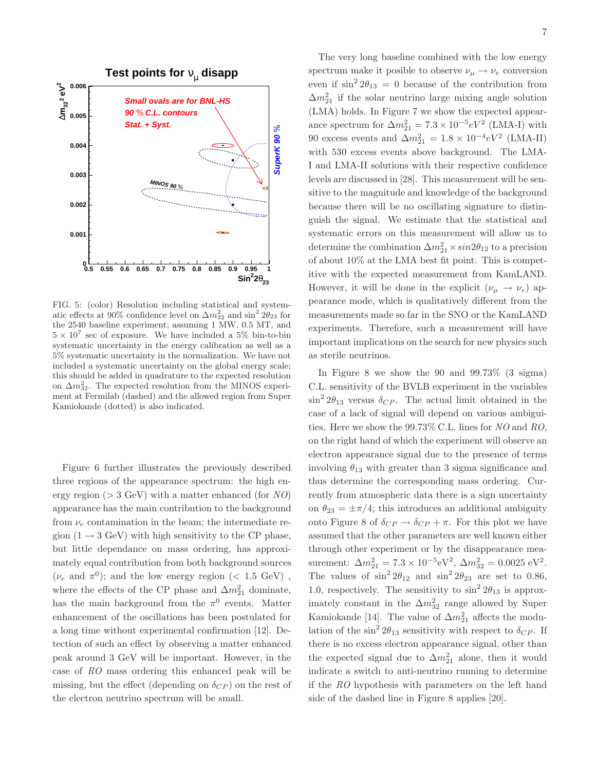

FIG. 5: (color) Resolution including statistical and systematic effects at 90% confidence level on  $\Delta m_{32}^2$  and  $\sin^2 2\theta_{23}$  for the 2540 baseline experiment; assuming 1 MW, 0.5 MT, and  $5 \times 10^7$  sec of exposure. We have included a 5% bin-to-bin systematic uncertainty in the energy calibration as well as a 5% systematic uncertainty in the normalization. We have not included a systematic uncertainty on the global energy scale; this should be added in quadrature to the expected resolution on  $\Delta m_{32}^2$ . The expected resolution from the MINOS experiment at Fermilab (dashed) and the allowed region from Super Kamiokande (dotted) is also indicated.

Figure 6 further illustrates the previously described three regions of the appearance spectrum: the high energy region ( $> 3 \text{ GeV}$ ) with a matter enhanced (for NO) appearance has the main contribution to the background from  $\nu_e$  contamination in the beam; the intermediate region  $(1 \rightarrow 3 \text{ GeV})$  with high sensitivity to the CP phase, but little dependance on mass ordering, has approximately equal contribution from both background sources  $(\nu_e \text{ and } \pi^0)$ ; and the low energy region (< 1.5 GeV), where the effects of the CP phase and  $\Delta m_{21}^2$  dominate, has the main background from the  $\pi^0$  events. Matter enhancement of the oscillations has been postulated for a long time without experimental confirmation [12]. Detection of such an effect by observing a matter enhanced peak around 3 GeV will be important. However, in the case of RO mass ordering this enhanced peak will be missing, but the effect (depending on  $\delta_{CP}$ ) on the rest of the electron neutrino spectrum will be small.

The very long baseline combined with the low energy spectrum make it posible to observe  $\nu_{\mu} \rightarrow \nu_{e}$  conversion even if  $\sin^2 2\theta_{13} = 0$  because of the contribution from  $\Delta m_{21}^2$  if the solar neutrino large mixing angle solution (LMA) holds. In Figure 7 we show the expected appearance spectrum for  $\Delta m_{21}^2 = 7.3 \times 10^{-5} eV^2$  (LMA-I) with 90 excess events and  $\Delta m_{21}^2 = 1.8 \times 10^{-4} eV^2$  (LMA-II) with 530 excess events above background. The LMA-I and LMA-II solutions with their respective confidence levels are discussed in [28]. This measurement will be sensitive to the magnitude and knowledge of the background because there will be no oscillating signature to distinguish the signal. We estimate that the statistical and systematic errors on this measurement will allow us to determine the combination  $\Delta m_{21}^2 \times \sin 2\theta_{12}$  to a precision of about 10% at the LMA best fit point. This is competitive with the expected measurement from KamLAND. However, it will be done in the explicit  $(\nu_{\mu} \rightarrow \nu_{e})$  appearance mode, which is qualitatively different from the measurements made so far in the SNO or the KamLAND experiments. Therefore, such a measurement will have important implications on the search for new physics such as sterile neutrinos.

In Figure 8 we show the 90 and 99.73% (3 sigma) C.L. sensitivity of the BVLB experiment in the variables  $\sin^2 2\theta_{13}$  versus  $\delta_{CP}$ . The actual limit obtained in the case of a lack of signal will depend on various ambiguities. Here we show the 99.73% C.L. lines for NO and RO, on the right hand of which the experiment will observe an electron appearance signal due to the presence of terms involving  $\theta_{13}$  with greater than 3 sigma significance and thus determine the corresponding mass ordering. Currently from atmospheric data there is a sign uncertainty on  $\theta_{23} = \pm \pi/4$ ; this introduces an additional ambiguity onto Figure 8 of  $\delta_{CP} \rightarrow \delta_{CP} + \pi$ . For this plot we have assumed that the other parameters are well known either through other experiment or by the disappearance measurement:  $\Delta m_{21}^2 = 7.3 \times 10^{-5} \text{eV}^2$ ,  $\Delta m_{32}^2 = 0.0025 \text{ eV}^2$ . The values of  $\sin^2 2\theta_{12}$  and  $\sin^2 2\theta_{23}$  are set to 0.86, 1.0, respectively. The sensitivity to  $\sin^2 2\theta_{13}$  is approximately constant in the  $\Delta m_{32}^2$  range allowed by Super Kamiokande [14]. The value of  $\Delta m_{21}^2$  affects the modulation of the  $\sin^2 2\theta_{13}$  sensitivity with respect to  $\delta_{CP}$ . If there is no excess electron appearance signal, other than the expected signal due to  $\Delta m_{21}^2$  alone, then it would indicate a switch to anti-neutrino running to determine if the RO hypothesis with parameters on the left hand side of the dashed line in Figure 8 applies [20].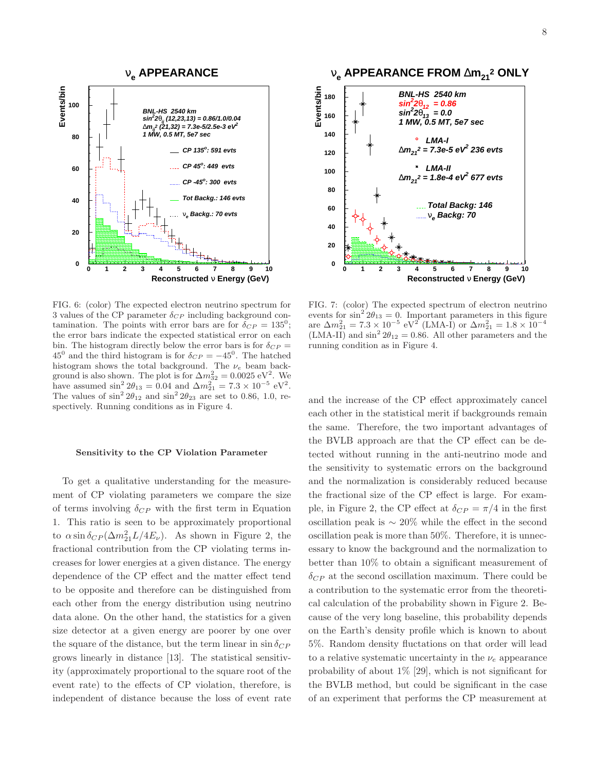

FIG. 6: (color) The expected electron neutrino spectrum for 3 values of the CP parameter  $\delta_{CP}$  including background contamination. The points with error bars are for  $\delta_{CP} = 135^0$ ; the error bars indicate the expected statistical error on each bin. The histogram directly below the error bars is for  $\delta_{CP} =$ 45<sup>0</sup> and the third histogram is for  $\delta_{CP} = -45^{\circ}$ . The hatched histogram shows the total background. The  $\nu_e$  beam background is also shown. The plot is for  $\Delta m_{32}^2 = 0.0025 \text{ eV}^2$ . We have assumed  $\sin^2 2\theta_{13} = 0.04$  and  $\Delta m_{21}^2 = 7.3 \times 10^{-5}$  eV<sup>2</sup>. The values of  $\sin^2 2\theta_{12}$  and  $\sin^2 2\theta_{23}$  are set to 0.86, 1.0, respectively. Running conditions as in Figure 4.

# Sensitivity to the CP Violation Parameter

To get a qualitative understanding for the measurement of CP violating parameters we compare the size of terms involving  $\delta_{CP}$  with the first term in Equation 1. This ratio is seen to be approximately proportional to  $\alpha \sin \delta_{CP} (\Delta m_{21}^2 L/4E_\nu)$ . As shown in Figure 2, the fractional contribution from the CP violating terms increases for lower energies at a given distance. The energy dependence of the CP effect and the matter effect tend to be opposite and therefore can be distinguished from each other from the energy distribution using neutrino data alone. On the other hand, the statistics for a given size detector at a given energy are poorer by one over the square of the distance, but the term linear in  $\sin \delta_{CP}$ grows linearly in distance [13]. The statistical sensitivity (approximately proportional to the square root of the event rate) to the effects of CP violation, therefore, is independent of distance because the loss of event rate



FIG. 7: (color) The expected spectrum of electron neutrino events for  $\sin^2 2\theta_{13} = 0$ . Important parameters in this figure are  $\Delta m_{21}^2 = 7.3 \times 10^{-5} \text{ eV}^2 \text{ (LMA-I) or } \Delta m_{21}^2 = 1.8 \times 10^{-4}$  $(LMA-II)$  and  $\sin^2 2\theta_{12} = 0.86$ . All other parameters and the running condition as in Figure 4.

and the increase of the CP effect approximately cancel each other in the statistical merit if backgrounds remain the same. Therefore, the two important advantages of the BVLB approach are that the CP effect can be detected without running in the anti-neutrino mode and the sensitivity to systematic errors on the background and the normalization is considerably reduced because the fractional size of the CP effect is large. For example, in Figure 2, the CP effect at  $\delta_{CP} = \pi/4$  in the first oscillation peak is ∼ 20% while the effect in the second oscillation peak is more than 50%. Therefore, it is unnecessary to know the background and the normalization to better than 10% to obtain a significant measurement of  $\delta_{CP}$  at the second oscillation maximum. There could be a contribution to the systematic error from the theoretical calculation of the probability shown in Figure 2. Because of the very long baseline, this probability depends on the Earth's density profile which is known to about 5%. Random density fluctations on that order will lead to a relative systematic uncertainty in the  $\nu_e$  appearance probability of about 1% [29], which is not significant for the BVLB method, but could be significant in the case of an experiment that performs the CP measurement at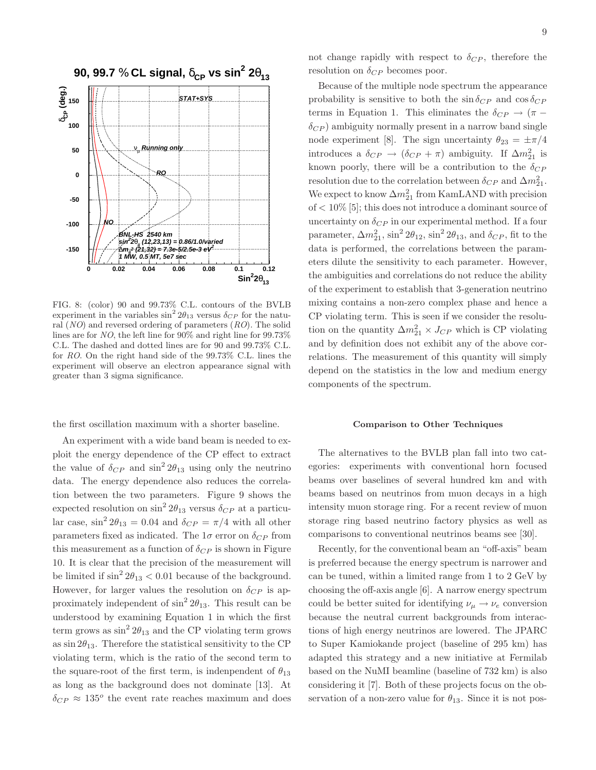

FIG. 8: (color) 90 and 99.73% C.L. contours of the BVLB experiment in the variables  $\sin^2 2\theta_{13}$  versus  $\delta_{CP}$  for the natural  $(NO)$  and reversed ordering of parameters  $(RO)$ . The solid lines are for NO, the left line for 90% and right line for 99.73% C.L. The dashed and dotted lines are for 90 and 99.73% C.L. for RO. On the right hand side of the 99.73% C.L. lines the experiment will observe an electron appearance signal with greater than 3 sigma significance.

the first oscillation maximum with a shorter baseline.

An experiment with a wide band beam is needed to exploit the energy dependence of the CP effect to extract the value of  $\delta_{CP}$  and  $\sin^2 2\theta_{13}$  using only the neutrino data. The energy dependence also reduces the correlation between the two parameters. Figure 9 shows the expected resolution on  $\sin^2 2\theta_{13}$  versus  $\delta_{CP}$  at a particular case,  $\sin^2 2\theta_{13} = 0.04$  and  $\delta_{CP} = \pi/4$  with all other parameters fixed as indicated. The  $1\sigma$  error on  $\delta_{CP}$  from this measurement as a function of  $\delta_{CP}$  is shown in Figure 10. It is clear that the precision of the measurement will be limited if  $\sin^2 2\theta_{13} < 0.01$  because of the background. However, for larger values the resolution on  $\delta_{CP}$  is approximately independent of  $\sin^2 2\theta_{13}$ . This result can be understood by examining Equation 1 in which the first term grows as  $\sin^2 2\theta_{13}$  and the CP violating term grows as  $\sin 2\theta_{13}$ . Therefore the statistical sensitivity to the CP violating term, which is the ratio of the second term to the square-root of the first term, is indenpendent of  $\theta_{13}$ as long as the background does not dominate [13]. At  $\delta_{CP} \approx 135^o$  the event rate reaches maximum and does not change rapidly with respect to  $\delta_{CP}$ , therefore the resolution on  $\delta_{CP}$  becomes poor.

Because of the multiple node spectrum the appearance probability is sensitive to both the  $\sin \delta_{CP}$  and  $\cos \delta_{CP}$ terms in Equation 1. This eliminates the  $\delta_{CP} \rightarrow (\pi \delta_{CP}$ ) ambiguity normally present in a narrow band single node experiment [8]. The sign uncertainty  $\theta_{23} = \pm \pi/4$ introduces a  $\delta_{CP} \rightarrow (\delta_{CP} + \pi)$  ambiguity. If  $\Delta m_{21}^2$  is known poorly, there will be a contribution to the  $\delta_{CP}$ resolution due to the correlation between  $\delta_{CP}$  and  $\Delta m^2_{21}$ . We expect to know  $\Delta m_{21}^2$  from KamLAND with precision of < 10% [5]; this does not introduce a dominant source of uncertainty on  $\delta_{CP}$  in our experimental method. If a four parameter,  $\Delta m_{21}^2$ ,  $\sin^2 2\theta_{12}$ ,  $\sin^2 2\theta_{13}$ , and  $\delta_{CP}$ , fit to the data is performed, the correlations between the parameters dilute the sensitivity to each parameter. However, the ambiguities and correlations do not reduce the ability of the experiment to establish that 3-generation neutrino mixing contains a non-zero complex phase and hence a CP violating term. This is seen if we consider the resolution on the quantity  $\Delta m_{21}^2 \times J_{CP}$  which is CP violating and by definition does not exhibit any of the above correlations. The measurement of this quantity will simply depend on the statistics in the low and medium energy components of the spectrum.

## Comparison to Other Techniques

The alternatives to the BVLB plan fall into two categories: experiments with conventional horn focused beams over baselines of several hundred km and with beams based on neutrinos from muon decays in a high intensity muon storage ring. For a recent review of muon storage ring based neutrino factory physics as well as comparisons to conventional neutrinos beams see [30].

Recently, for the conventional beam an "off-axis" beam is preferred because the energy spectrum is narrower and can be tuned, within a limited range from 1 to 2 GeV by choosing the off-axis angle [6]. A narrow energy spectrum could be better suited for identifying  $\nu_{\mu} \rightarrow \nu_{e}$  conversion because the neutral current backgrounds from interactions of high energy neutrinos are lowered. The JPARC to Super Kamiokande project (baseline of 295 km) has adapted this strategy and a new initiative at Fermilab based on the NuMI beamline (baseline of 732 km) is also considering it [7]. Both of these projects focus on the observation of a non-zero value for  $\theta_{13}$ . Since it is not pos-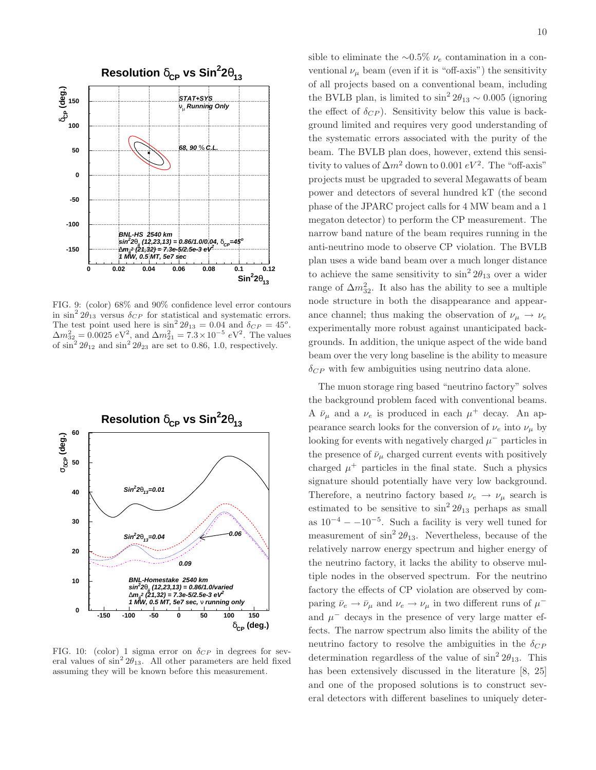

FIG. 9: (color) 68% and 90% confidence level error contours in  $\sin^2 2\theta_{13}$  versus  $\delta_{CP}$  for statistical and systematic errors. The test point used here is  $\sin^2 2\theta_{13} = 0.04$  and  $\delta_{CP} = 45^\circ$ .  $\Delta m_{32}^2 = 0.0025 \ eV^2$ , and  $\Delta m_{21}^2 = 7.3 \times 10^{-5} \ eV^2$ . The values of sin<sup>2</sup> 2 $\theta_{12}$  and sin<sup>2</sup> 2 $\theta_{23}$  are set to 0.86, 1.0, respectively.



FIG. 10: (color) 1 sigma error on  $\delta_{CP}$  in degrees for several values of  $\sin^2 2\theta_{13}$ . All other parameters are held fixed assuming they will be known before this measurement.

sible to eliminate the ∼0.5%  $\nu_e$  contamination in a conventional  $\nu_{\mu}$  beam (even if it is "off-axis") the sensitivity of all projects based on a conventional beam, including the BVLB plan, is limited to  $\sin^2 2\theta_{13} \sim 0.005$  (ignoring the effect of  $\delta_{CP}$ ). Sensitivity below this value is background limited and requires very good understanding of the systematic errors associated with the purity of the beam. The BVLB plan does, however, extend this sensitivity to values of  $\Delta m^2$  down to 0.001  $eV^2$ . The "off-axis" projects must be upgraded to several Megawatts of beam power and detectors of several hundred kT (the second phase of the JPARC project calls for 4 MW beam and a 1 megaton detector) to perform the CP measurement. The narrow band nature of the beam requires running in the anti-neutrino mode to observe CP violation. The BVLB plan uses a wide band beam over a much longer distance to achieve the same sensitivity to  $\sin^2 2\theta_{13}$  over a wider range of  $\Delta m_{32}^2$ . It also has the ability to see a multiple node structure in both the disappearance and appearance channel; thus making the observation of  $\nu_{\mu} \rightarrow \nu_{e}$ experimentally more robust against unanticipated backgrounds. In addition, the unique aspect of the wide band beam over the very long baseline is the ability to measure  $\delta_{CP}$  with few ambiguities using neutrino data alone.

The muon storage ring based "neutrino factory" solves the background problem faced with conventional beams. A  $\bar{\nu}_{\mu}$  and a  $\nu_e$  is produced in each  $\mu^+$  decay. An appearance search looks for the conversion of  $\nu_e$  into  $\nu_\mu$  by looking for events with negatively charged  $\mu^-$  particles in the presence of  $\bar{\nu}_{\mu}$  charged current events with positively charged  $\mu^+$  particles in the final state. Such a physics signature should potentially have very low background. Therefore, a neutrino factory based  $\nu_e \rightarrow \nu_\mu$  search is estimated to be sensitive to  $\sin^2 2\theta_{13}$  perhaps as small as  $10^{-4} - 10^{-5}$ . Such a facility is very well tuned for measurement of  $\sin^2 2\theta_{13}$ . Nevertheless, because of the relatively narrow energy spectrum and higher energy of the neutrino factory, it lacks the ability to observe multiple nodes in the observed spectrum. For the neutrino factory the effects of CP violation are observed by comparing  $\bar{\nu}_e \to \bar{\nu}_\mu$  and  $\nu_e \to \nu_\mu$  in two different runs of  $\mu^$ and  $\mu^-$  decays in the presence of very large matter effects. The narrow spectrum also limits the ability of the neutrino factory to resolve the ambiguities in the  $\delta_{CP}$ determination regardless of the value of  $\sin^2 2\theta_{13}$ . This has been extensively discussed in the literature  $[8, 25]$ and one of the proposed solutions is to construct several detectors with different baselines to uniquely deter-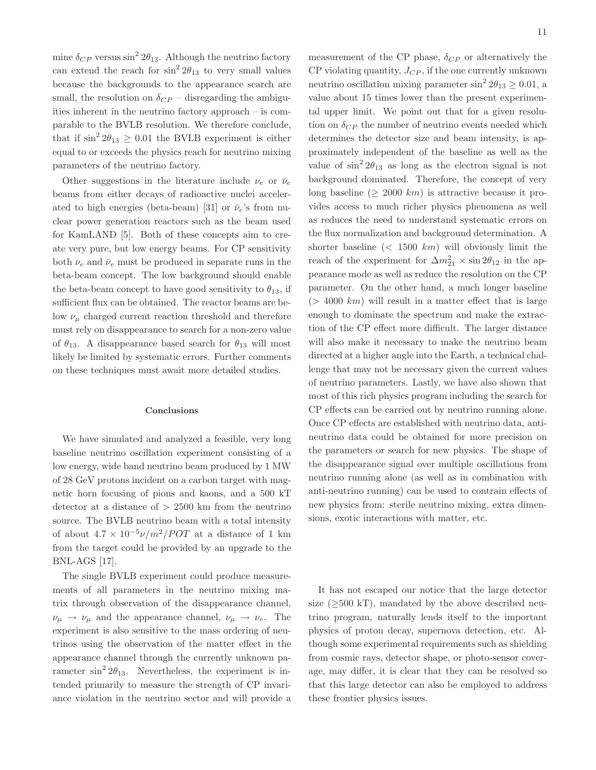mine  $\delta_{CP}$  versus sin<sup>2</sup>  $2\theta_{13}$ . Although the neutrino factory can extend the reach for  $\sin^2 2\theta_{13}$  to very small values because the backgrounds to the appearance search are small, the resolution on  $\delta_{CP}$  – disregarding the ambiguities inherent in the neutrino factory approach – is comparable to the BVLB resolution. We therefore conclude, that if  $\sin^2 2\theta_{13} \geq 0.01$  the BVLB experiment is either equal to or exceeds the physics reach for neutrino mixing parameters of the neutrino factory.

Other suggestions in the literature include  $\nu_e$  or  $\bar{\nu}_e$ beams from either decays of radioactive nuclei accelerated to high energies (beta-beam) [31] or  $\bar{\nu}_e$ 's from nuclear power generation reactors such as the beam used for KamLAND [5]. Both of these concepts aim to create very pure, but low energy beams. For CP sensitivity both  $\nu_e$  and  $\bar{\nu}_e$  must be produced in separate runs in the beta-beam concept. The low background should enable the beta-beam concept to have good sensitivity to  $\theta_{13}$ , if sufficient flux can be obtained. The reactor beams are below  $\nu_{\mu}$  charged current reaction threshold and therefore must rely on disappearance to search for a non-zero value of  $\theta_{13}$ . A disappearance based search for  $\theta_{13}$  will most likely be limited by systematic errors. Further comments on these techniques must await more detailed studies.

# Conclusions

We have simulated and analyzed a feasible, very long baseline neutrino oscillation experiment consisting of a low energy, wide band neutrino beam produced by 1 MW of 28 GeV protons incident on a carbon target with magnetic horn focusing of pions and kaons, and a 500 kT detector at a distance of  $> 2500$  km from the neutrino source. The BVLB neutrino beam with a total intensity of about  $4.7 \times 10^{-5} \nu/m^2 / POT$  at a distance of 1 km from the target could be provided by an upgrade to the BNL-AGS [17].

The single BVLB experiment could produce measurements of all parameters in the neutrino mixing matrix through observation of the disappearance channel,  $\nu_{\mu} \rightarrow \nu_{\mu}$  and the appearance channel,  $\nu_{\mu} \rightarrow \nu_{e}$ . The experiment is also sensitive to the mass ordering of neutrinos using the observation of the matter effect in the appearance channel through the currently unknown parameter  $\sin^2 2\theta_{13}$ . Nevertheless, the experiment is intended primarily to measure the strength of CP invariance violation in the neutrino sector and will provide a

measurement of the CP phase,  $\delta_{CP}$  or alternatively the  $CP$  violating quantity,  $J_{CP}$ , if the one currently unknown neutrino oscillation mixing parameter  $\sin^2 2\theta_{13} \ge 0.01$ , a value about 15 times lower than the present experimental upper limit. We point out that for a given resolution on  $\delta_{CP}$  the number of neutrino events needed which determines the detector size and beam intensity, is approximately independent of the baseline as well as the value of  $\sin^2 2\theta_{13}$  as long as the electron signal is not background dominated. Therefore, the concept of very long baseline ( $\geq 2000 \; km$ ) is attractive because it provides access to much richer physics phenomena as well as reduces the need to understand systematic errors on the flux normalization and background determination. A shorter baseline  $(< 1500 \ km)$  will obviously limit the reach of the experiment for  $\Delta m_{21}^2 \times \sin 2\theta_{12}$  in the appearance mode as well as reduce the resolution on the CP parameter. On the other hand, a much longer baseline  $(> 4000 \; km)$  will result in a matter effect that is large enough to dominate the spectrum and make the extraction of the CP effect more difficult. The larger distance will also make it necessary to make the neutrino beam directed at a higher angle into the Earth, a technical challenge that may not be necessary given the current values of neutrino parameters. Lastly, we have also shown that most of this rich physics program including the search for CP effects can be carried out by neutrino running alone. Once CP effects are established with neutrino data, antineutrino data could be obtained for more precision on the parameters or search for new physics. The shape of the disappearance signal over multiple oscillations from neutrino running alone (as well as in combination with anti-neutrino running) can be used to contrain effects of new physics from: sterile neutrino mixing, extra dimensions, exotic interactions with matter, etc.

It has not escaped our notice that the large detector size  $(\geq 500 \text{ kT})$ , mandated by the above described neutrino program, naturally lends itself to the important physics of proton decay, supernova detection, etc. Although some experimental requirements such as shielding from cosmic rays, detector shape, or photo-sensor coverage, may differ, it is clear that they can be resolved so that this large detector can also be employed to address these frontier physics issues.